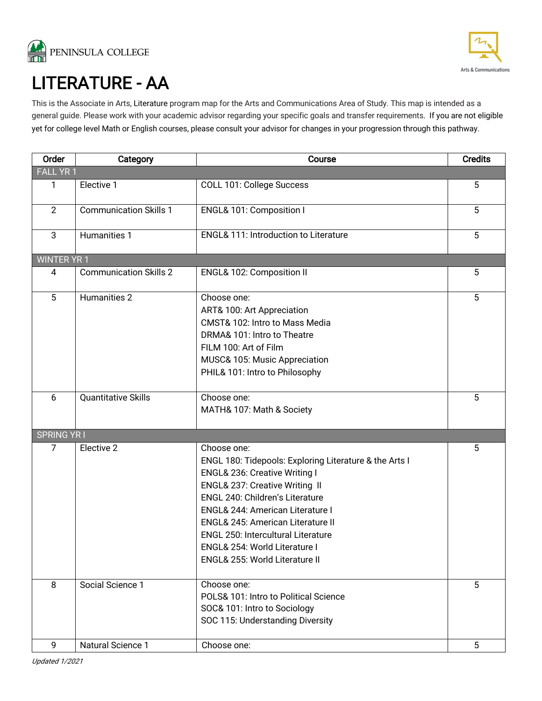



LITERATURE - AA<br>This is the Associate in Arts, Literature program map for the Arts and Communications Area of Study. This map is intended as a general guide. Please work with your academic advisor regarding your specific goals and transfer requirements. If you are not eligible yet for college level Math or English courses, please consult your advisor for changes in your progression through this pathway.

| Order             | Category                      | Course                                                                                                                                                                                                                                                                                                                                                                          | <b>Credits</b> |  |  |
|-------------------|-------------------------------|---------------------------------------------------------------------------------------------------------------------------------------------------------------------------------------------------------------------------------------------------------------------------------------------------------------------------------------------------------------------------------|----------------|--|--|
| <b>FALL YR1</b>   |                               |                                                                                                                                                                                                                                                                                                                                                                                 |                |  |  |
| 1                 | Elective 1                    | COLL 101: College Success                                                                                                                                                                                                                                                                                                                                                       | $\overline{5}$ |  |  |
| 2                 | <b>Communication Skills 1</b> | ENGL& 101: Composition I                                                                                                                                                                                                                                                                                                                                                        | 5              |  |  |
| 3                 | Humanities 1                  | <b>ENGL&amp; 111: Introduction to Literature</b>                                                                                                                                                                                                                                                                                                                                | 5              |  |  |
|                   | <b>WINTER YR 1</b>            |                                                                                                                                                                                                                                                                                                                                                                                 |                |  |  |
| 4                 | <b>Communication Skills 2</b> | ENGL& 102: Composition II                                                                                                                                                                                                                                                                                                                                                       | 5              |  |  |
| 5                 | Humanities 2                  | Choose one:<br>ART& 100: Art Appreciation<br>CMST& 102: Intro to Mass Media<br>DRMA& 101: Intro to Theatre<br>FILM 100: Art of Film<br>MUSC& 105: Music Appreciation<br>PHIL& 101: Intro to Philosophy                                                                                                                                                                          | 5              |  |  |
| 6                 | <b>Quantitative Skills</b>    | Choose one:<br>MATH& 107: Math & Society                                                                                                                                                                                                                                                                                                                                        | 5              |  |  |
| <b>SPRING YRI</b> |                               |                                                                                                                                                                                                                                                                                                                                                                                 |                |  |  |
| $\overline{7}$    | Elective 2                    | Choose one:<br>ENGL 180: Tidepools: Exploring Literature & the Arts I<br>ENGL& 236: Creative Writing I<br>ENGL& 237: Creative Writing II<br>ENGL 240: Children's Literature<br>ENGL& 244: American Literature I<br><b>ENGL&amp; 245: American Literature II</b><br><b>ENGL 250: Intercultural Literature</b><br>ENGL& 254: World Literature I<br>ENGL& 255: World Literature II | 5              |  |  |
| 8                 | Social Science 1              | Choose one:<br>POLS& 101: Intro to Political Science<br>SOC& 101: Intro to Sociology<br>SOC 115: Understanding Diversity                                                                                                                                                                                                                                                        | 5              |  |  |
| 9                 | Natural Science 1             | Choose one:                                                                                                                                                                                                                                                                                                                                                                     | 5              |  |  |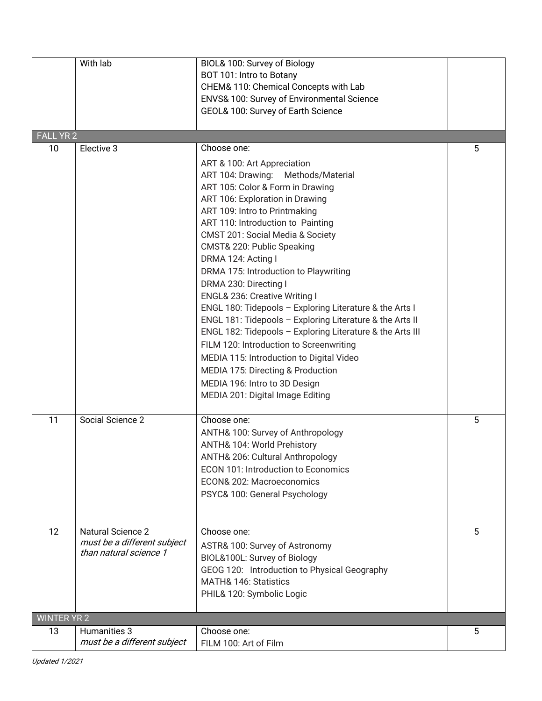|                    | With lab                                                                          | BIOL& 100: Survey of Biology<br>BOT 101: Intro to Botany<br>CHEM& 110: Chemical Concepts with Lab<br>ENVS& 100: Survey of Environmental Science<br>GEOL& 100: Survey of Earth Science                                                                                                                                                                                                                                                                                                                                                                                                                                                                                                                                                                                                             |   |
|--------------------|-----------------------------------------------------------------------------------|---------------------------------------------------------------------------------------------------------------------------------------------------------------------------------------------------------------------------------------------------------------------------------------------------------------------------------------------------------------------------------------------------------------------------------------------------------------------------------------------------------------------------------------------------------------------------------------------------------------------------------------------------------------------------------------------------------------------------------------------------------------------------------------------------|---|
| <b>FALL YR 2</b>   |                                                                                   |                                                                                                                                                                                                                                                                                                                                                                                                                                                                                                                                                                                                                                                                                                                                                                                                   |   |
| 10                 | Elective 3                                                                        | Choose one:                                                                                                                                                                                                                                                                                                                                                                                                                                                                                                                                                                                                                                                                                                                                                                                       | 5 |
|                    |                                                                                   | ART & 100: Art Appreciation<br>Methods/Material<br>ART 104: Drawing:<br>ART 105: Color & Form in Drawing<br>ART 106: Exploration in Drawing<br>ART 109: Intro to Printmaking<br>ART 110: Introduction to Painting<br>CMST 201: Social Media & Society<br>CMST& 220: Public Speaking<br>DRMA 124: Acting I<br>DRMA 175: Introduction to Playwriting<br>DRMA 230: Directing I<br>ENGL& 236: Creative Writing I<br>ENGL 180: Tidepools - Exploring Literature & the Arts I<br>ENGL 181: Tidepools - Exploring Literature & the Arts II<br>ENGL 182: Tidepools - Exploring Literature & the Arts III<br>FILM 120: Introduction to Screenwriting<br>MEDIA 115: Introduction to Digital Video<br>MEDIA 175: Directing & Production<br>MEDIA 196: Intro to 3D Design<br>MEDIA 201: Digital Image Editing |   |
| 11                 | Social Science 2                                                                  | Choose one:<br>ANTH& 100: Survey of Anthropology<br>ANTH& 104: World Prehistory<br>ANTH& 206: Cultural Anthropology<br><b>ECON 101: Introduction to Economics</b><br>ECON& 202: Macroeconomics<br>PSYC& 100: General Psychology                                                                                                                                                                                                                                                                                                                                                                                                                                                                                                                                                                   | 5 |
| 12                 | <b>Natural Science 2</b><br>must be a different subject<br>than natural science 1 | Choose one:<br>ASTR& 100: Survey of Astronomy<br>BIOL&100L: Survey of Biology<br>GEOG 120: Introduction to Physical Geography<br><b>MATH&amp; 146: Statistics</b><br>PHIL& 120: Symbolic Logic                                                                                                                                                                                                                                                                                                                                                                                                                                                                                                                                                                                                    | 5 |
| <b>WINTER YR 2</b> |                                                                                   |                                                                                                                                                                                                                                                                                                                                                                                                                                                                                                                                                                                                                                                                                                                                                                                                   |   |
| 13                 | Humanities 3<br>must be a different subject                                       | Choose one:<br>FILM 100: Art of Film                                                                                                                                                                                                                                                                                                                                                                                                                                                                                                                                                                                                                                                                                                                                                              | 5 |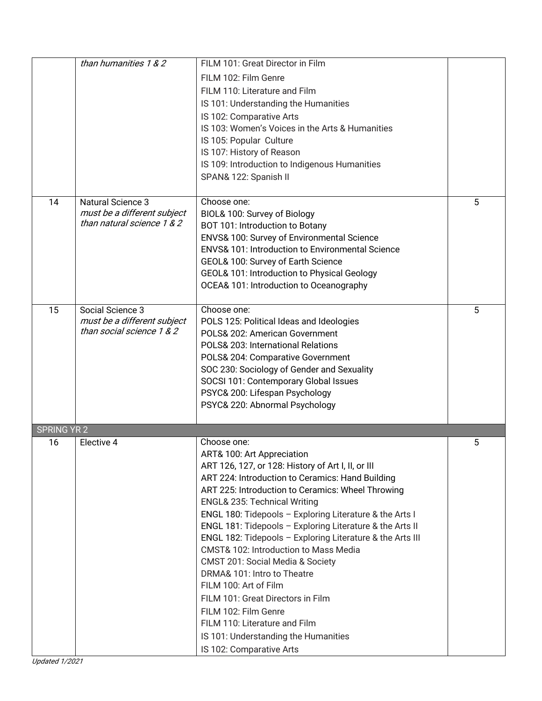| FILM 102: Film Genre                                        | FILM 101: Great Director in Film                            |
|-------------------------------------------------------------|-------------------------------------------------------------|
|                                                             |                                                             |
| FILM 110: Literature and Film                               |                                                             |
|                                                             | IS 101: Understanding the Humanities                        |
| IS 102: Comparative Arts                                    |                                                             |
|                                                             | IS 103: Women's Voices in the Arts & Humanities             |
| IS 105: Popular Culture                                     |                                                             |
| IS 107: History of Reason                                   |                                                             |
|                                                             | IS 109: Introduction to Indigenous Humanities               |
| SPAN& 122: Spanish II                                       |                                                             |
| Choose one:<br><b>Natural Science 3</b><br>14               | 5                                                           |
| must be a different subject<br>BIOL& 100: Survey of Biology |                                                             |
| than natural science 1 & 2                                  | BOT 101: Introduction to Botany                             |
|                                                             | ENVS& 100: Survey of Environmental Science                  |
|                                                             | <b>ENVS&amp; 101: Introduction to Environmental Science</b> |
|                                                             | GEOL& 100: Survey of Earth Science                          |
|                                                             | GEOL& 101: Introduction to Physical Geology                 |
|                                                             | OCEA& 101: Introduction to Oceanography                     |
|                                                             |                                                             |
| Social Science 3<br>Choose one:<br>15                       | 5                                                           |
| must be a different subject                                 | POLS 125: Political Ideas and Ideologies                    |
| than social science 1 & 2                                   | POLS& 202: American Government                              |
|                                                             | POLS& 203: International Relations                          |
|                                                             | POLS& 204: Comparative Government                           |
|                                                             | SOC 230: Sociology of Gender and Sexuality                  |
|                                                             | SOCSI 101: Contemporary Global Issues                       |
|                                                             | PSYC& 200: Lifespan Psychology                              |
|                                                             | PSYC& 220: Abnormal Psychology                              |
| <b>SPRING YR 2</b>                                          |                                                             |
|                                                             |                                                             |
| Elective 4<br>16<br>Choose one:                             | 5                                                           |
| ART& 100: Art Appreciation                                  |                                                             |
|                                                             | ART 126, 127, or 128: History of Art I, II, or III          |
|                                                             | ART 224: Introduction to Ceramics: Hand Building            |
|                                                             | ART 225: Introduction to Ceramics: Wheel Throwing           |
|                                                             | <b>ENGL&amp; 235: Technical Writing</b>                     |
|                                                             | ENGL 180: Tidepools - Exploring Literature & the Arts I     |
|                                                             | ENGL 181: Tidepools - Exploring Literature & the Arts II    |
|                                                             | ENGL 182: Tidepools - Exploring Literature & the Arts III   |
|                                                             | CMST& 102: Introduction to Mass Media                       |
|                                                             | CMST 201: Social Media & Society                            |
| DRMA& 101: Intro to Theatre                                 |                                                             |
| FILM 100: Art of Film                                       |                                                             |
|                                                             | FILM 101: Great Directors in Film                           |
| FILM 102: Film Genre                                        |                                                             |
| FILM 110: Literature and Film                               |                                                             |
| IS 102: Comparative Arts                                    | IS 101: Understanding the Humanities                        |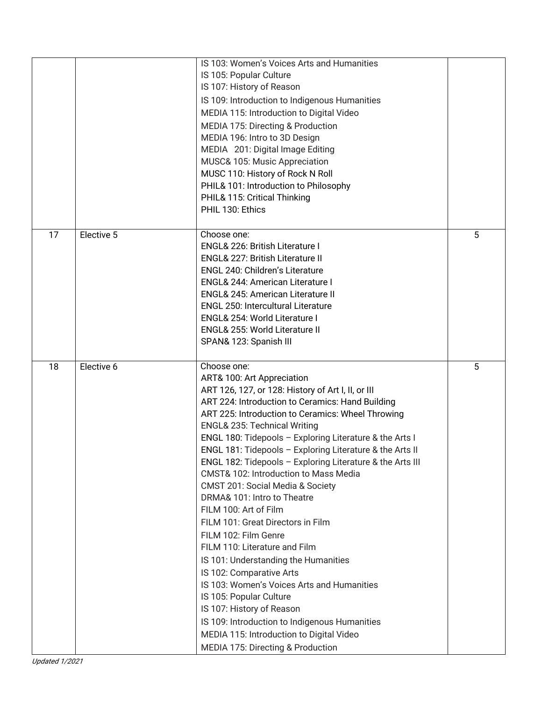|    |            | IS 103: Women's Voices Arts and Humanities                |   |
|----|------------|-----------------------------------------------------------|---|
|    |            | IS 105: Popular Culture                                   |   |
|    |            | IS 107: History of Reason                                 |   |
|    |            | IS 109: Introduction to Indigenous Humanities             |   |
|    |            | MEDIA 115: Introduction to Digital Video                  |   |
|    |            | MEDIA 175: Directing & Production                         |   |
|    |            | MEDIA 196: Intro to 3D Design                             |   |
|    |            | MEDIA 201: Digital Image Editing                          |   |
|    |            | MUSC& 105: Music Appreciation                             |   |
|    |            | MUSC 110: History of Rock N Roll                          |   |
|    |            | PHIL& 101: Introduction to Philosophy                     |   |
|    |            | PHIL& 115: Critical Thinking                              |   |
|    |            | PHIL 130: Ethics                                          |   |
|    |            |                                                           |   |
| 17 | Elective 5 | Choose one:                                               | 5 |
|    |            | <b>ENGL&amp; 226: British Literature I</b>                |   |
|    |            | <b>ENGL&amp; 227: British Literature II</b>               |   |
|    |            | ENGL 240: Children's Literature                           |   |
|    |            | <b>ENGL&amp; 244: American Literature I</b>               |   |
|    |            | ENGL& 245: American Literature II                         |   |
|    |            | <b>ENGL 250: Intercultural Literature</b>                 |   |
|    |            | ENGL& 254: World Literature I                             |   |
|    |            | ENGL& 255: World Literature II                            |   |
|    |            | SPAN& 123: Spanish III                                    |   |
|    |            |                                                           |   |
|    |            |                                                           |   |
| 18 | Elective 6 | Choose one:                                               | 5 |
|    |            | ART& 100: Art Appreciation                                |   |
|    |            | ART 126, 127, or 128: History of Art I, II, or III        |   |
|    |            | ART 224: Introduction to Ceramics: Hand Building          |   |
|    |            | ART 225: Introduction to Ceramics: Wheel Throwing         |   |
|    |            | <b>ENGL&amp; 235: Technical Writing</b>                   |   |
|    |            | ENGL 180: Tidepools - Exploring Literature & the Arts I   |   |
|    |            | ENGL 181: Tidepools - Exploring Literature & the Arts II  |   |
|    |            | ENGL 182: Tidepools - Exploring Literature & the Arts III |   |
|    |            | CMST& 102: Introduction to Mass Media                     |   |
|    |            | CMST 201: Social Media & Society                          |   |
|    |            | DRMA& 101: Intro to Theatre                               |   |
|    |            | FILM 100: Art of Film                                     |   |
|    |            | FILM 101: Great Directors in Film                         |   |
|    |            | FILM 102: Film Genre                                      |   |
|    |            | FILM 110: Literature and Film                             |   |
|    |            | IS 101: Understanding the Humanities                      |   |
|    |            | IS 102: Comparative Arts                                  |   |
|    |            | IS 103: Women's Voices Arts and Humanities                |   |
|    |            | IS 105: Popular Culture                                   |   |
|    |            | IS 107: History of Reason                                 |   |
|    |            | IS 109: Introduction to Indigenous Humanities             |   |
|    |            | MEDIA 115: Introduction to Digital Video                  |   |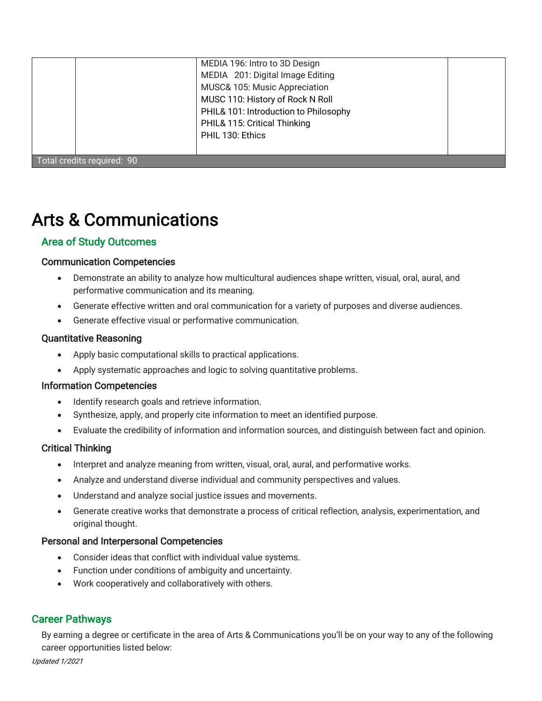|                            | MEDIA 196: Intro to 3D Design<br>MEDIA 201: Digital Image Editing<br>MUSC& 105: Music Appreciation<br>MUSC 110: History of Rock N Roll<br>PHIL& 101: Introduction to Philosophy<br>PHIL& 115: Critical Thinking<br>PHIL 130: Ethics |  |  |
|----------------------------|-------------------------------------------------------------------------------------------------------------------------------------------------------------------------------------------------------------------------------------|--|--|
| Total credits required: 90 |                                                                                                                                                                                                                                     |  |  |

# Arts & Communications

# Area of Study Outcomes

#### Communication Competencies

- Demonstrate an ability to analyze how multicultural audiences shape written, visual, oral, aural, and performative communication and its meaning.
- Generate effective written and oral communication for a variety of purposes and diverse audiences.
- Generate effective visual or performative communication.

#### Quantitative Reasoning

- Apply basic computational skills to practical applications.
- Apply systematic approaches and logic to solving quantitative problems.

#### Information Competencies

- Identify research goals and retrieve information.
- Synthesize, apply, and properly cite information to meet an identified purpose.
- Evaluate the credibility of information and information sources, and distinguish between fact and opinion.

### Critical Thinking

- Interpret and analyze meaning from written, visual, oral, aural, and performative works.
- Analyze and understand diverse individual and community perspectives and values.
- Understand and analyze social justice issues and movements.
- Generate creative works that demonstrate a process of critical reflection, analysis, experimentation, and original thought.

#### Personal and Interpersonal Competencies

- Consider ideas that conflict with individual value systems.
- Function under conditions of ambiguity and uncertainty.
- Work cooperatively and collaboratively with others.

### Career Pathways

By earning a degree or certificate in the area of Arts & Communications you'll be on your way to any of the following career opportunities listed below: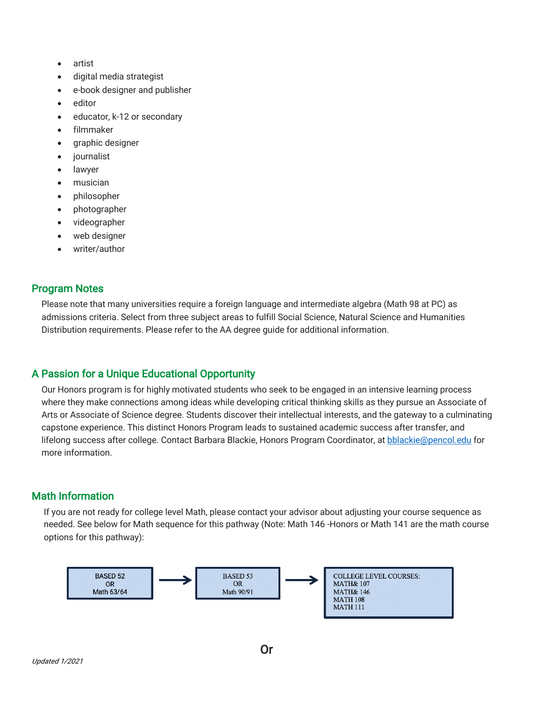- artist
- digital media strategist
- e-book designer and publisher
- editor
- educator, k-12 or secondary
- filmmaker
- graphic designer
- journalist
- lawyer
- musician
- philosopher
- photographer
- videographer
- web designer
- writer/author

## Program Notes

Please note that many universities require a foreign language and intermediate algebra (Math 98 at PC) as admissions criteria. Select from three subject areas to fulfill Social Science, Natural Science and Humanities Distribution requirements. Please refer to the AA degree guide for additional information.

# A Passion for a Unique Educational Opportunity

Our Honors program is for highly motivated students who seek to be engaged in an intensive learning process where they make connections among ideas while developing critical thinking skills as they pursue an Associate of Arts or Associate of Science degree. Students discover their intellectual interests, and the gateway to a culminating capstone experience. This distinct Honors Program leads to sustained academic success after transfer, and lifelong success after college. Contact Barbara Blackie, Honors Program Coordinator, at bblackie@pencol.edu for more information.

# Math Information

If you are not ready for college level Math, please contact your advisor about adjusting your course sequence as needed. See below for Math sequence for this pathway (Note: Math 146 -Honors or Math 141 are the math course options for this pathway):